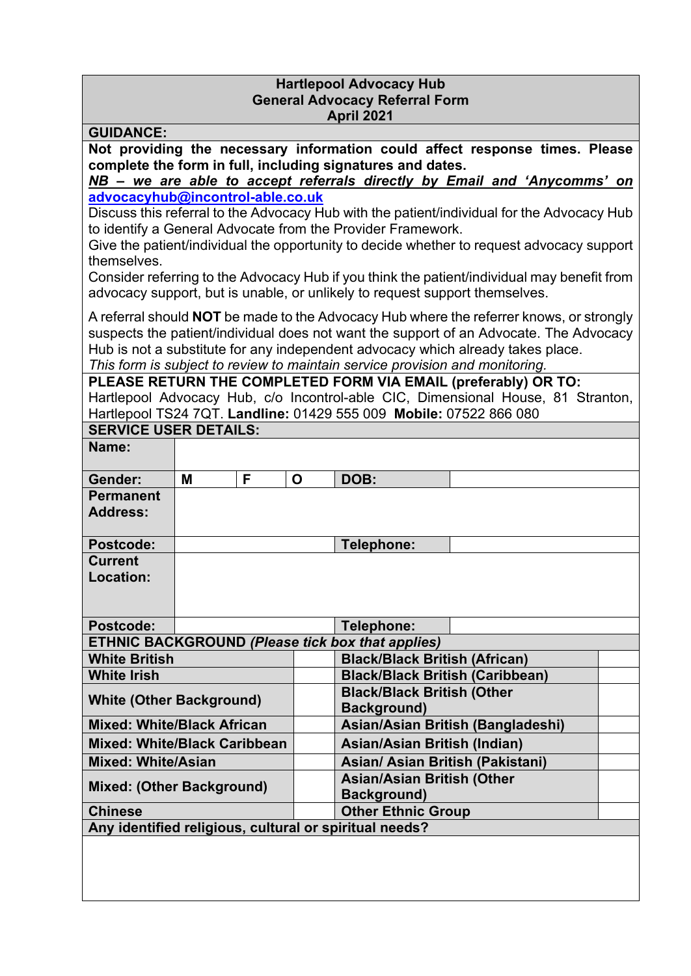## **Hartlepool Advocacy Hub General Advocacy Referral Form April 2021**

|--|

**Not providing the necessary information could affect response times. Please complete the form in full, including signatures and dates.**

*NB – we are able to accept referrals directly by Email and 'Anycomms' on* **[advocacyhub@incontrol-able.co.uk](mailto:advocacyhub@incontrol-able.co.uk)**

Discuss this referral to the Advocacy Hub with the patient/individual for the Advocacy Hub to identify a General Advocate from the Provider Framework.

Give the patient/individual the opportunity to decide whether to request advocacy support themselves.

Consider referring to the Advocacy Hub if you think the patient/individual may benefit from advocacy support, but is unable, or unlikely to request support themselves.

A referral should **NOT** be made to the Advocacy Hub where the referrer knows, or strongly suspects the patient/individual does not want the support of an Advocate. The Advocacy Hub is not a substitute for any independent advocacy which already takes place. *This form is subject to review to maintain service provision and monitoring.*

**PLEASE RETURN THE COMPLETED FORM VIA EMAIL (preferably) OR TO:**

Hartlepool Advocacy Hub, c/o Incontrol-able CIC, Dimensional House, 81 Stranton, Hartlepool TS24 7QT. **Landline:** 01429 555 009 **Mobile:** 07522 866 080

| <b>SERVICE USER DETAILS:</b>                                                        |   |                                      |             |                                                         |  |  |
|-------------------------------------------------------------------------------------|---|--------------------------------------|-------------|---------------------------------------------------------|--|--|
| Name:                                                                               |   |                                      |             |                                                         |  |  |
| Gender:                                                                             | M | F                                    | $\mathbf O$ | DOB:                                                    |  |  |
| <b>Permanent</b><br><b>Address:</b>                                                 |   |                                      |             |                                                         |  |  |
| Postcode:                                                                           |   |                                      |             | Telephone:                                              |  |  |
| <b>Current</b><br>Location:                                                         |   |                                      |             |                                                         |  |  |
| <b>Postcode:</b>                                                                    |   |                                      |             | Telephone:                                              |  |  |
|                                                                                     |   |                                      |             | <b>ETHNIC BACKGROUND (Please tick box that applies)</b> |  |  |
| <b>White British</b>                                                                |   | <b>Black/Black British (African)</b> |             |                                                         |  |  |
| <b>White Irish</b>                                                                  |   |                                      |             | <b>Black/Black British (Caribbean)</b>                  |  |  |
| <b>Black/Black British (Other</b><br><b>White (Other Background)</b><br>Background) |   |                                      |             |                                                         |  |  |
| <b>Mixed: White/Black African</b>                                                   |   | Asian/Asian British (Bangladeshi)    |             |                                                         |  |  |
| <b>Mixed: White/Black Caribbean</b>                                                 |   |                                      |             | Asian/Asian British (Indian)                            |  |  |
| <b>Mixed: White/Asian</b>                                                           |   |                                      |             | Asian/ Asian British (Pakistani)                        |  |  |
| <b>Mixed: (Other Background)</b>                                                    |   |                                      |             | <b>Asian/Asian British (Other</b><br>Background)        |  |  |
| <b>Chinese</b>                                                                      |   |                                      |             | <b>Other Ethnic Group</b>                               |  |  |
| Any identified religious, cultural or spiritual needs?                              |   |                                      |             |                                                         |  |  |
|                                                                                     |   |                                      |             |                                                         |  |  |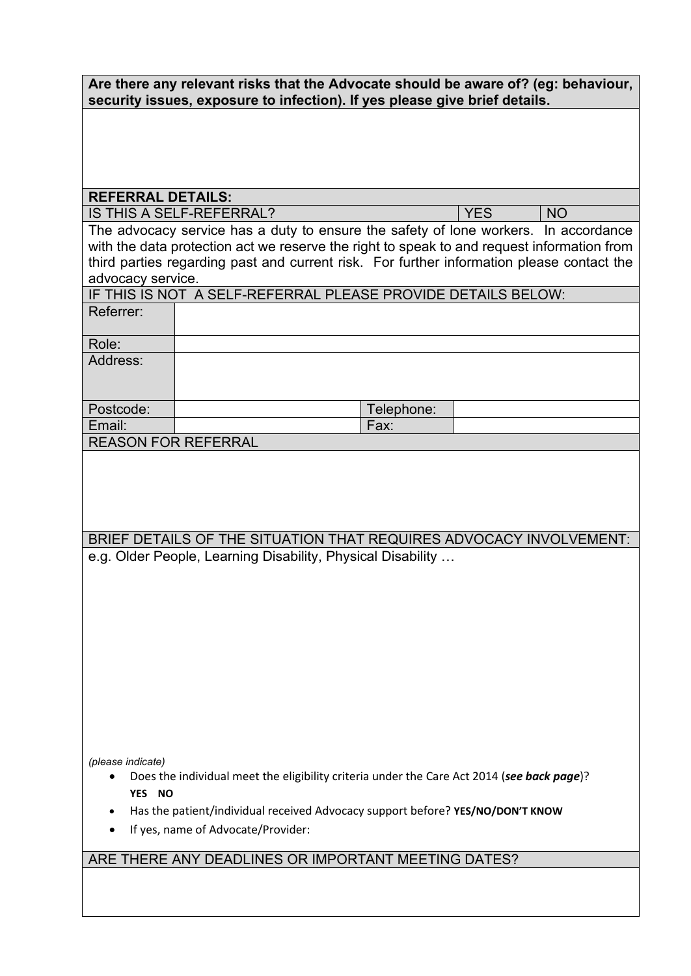| Are there any relevant risks that the Advocate should be aware of? (eg: behaviour,<br>security issues, exposure to infection). If yes please give brief details. |                                                                                            |            |            |           |  |
|------------------------------------------------------------------------------------------------------------------------------------------------------------------|--------------------------------------------------------------------------------------------|------------|------------|-----------|--|
|                                                                                                                                                                  |                                                                                            |            |            |           |  |
|                                                                                                                                                                  |                                                                                            |            |            |           |  |
|                                                                                                                                                                  |                                                                                            |            |            |           |  |
|                                                                                                                                                                  |                                                                                            |            |            |           |  |
| <b>REFERRAL DETAILS:</b>                                                                                                                                         |                                                                                            |            |            |           |  |
|                                                                                                                                                                  | IS THIS A SELF-REFERRAL?                                                                   |            | <b>YES</b> | <b>NO</b> |  |
|                                                                                                                                                                  | The advocacy service has a duty to ensure the safety of lone workers. In accordance        |            |            |           |  |
|                                                                                                                                                                  | with the data protection act we reserve the right to speak to and request information from |            |            |           |  |
| advocacy service.                                                                                                                                                | third parties regarding past and current risk. For further information please contact the  |            |            |           |  |
|                                                                                                                                                                  | IF THIS IS NOT A SELF-REFERRAL PLEASE PROVIDE DETAILS BELOW:                               |            |            |           |  |
| Referrer <sup>.</sup>                                                                                                                                            |                                                                                            |            |            |           |  |
|                                                                                                                                                                  |                                                                                            |            |            |           |  |
| Role:                                                                                                                                                            |                                                                                            |            |            |           |  |
| Address:                                                                                                                                                         |                                                                                            |            |            |           |  |
|                                                                                                                                                                  |                                                                                            |            |            |           |  |
| Postcode:                                                                                                                                                        |                                                                                            | Telephone: |            |           |  |
| Email:                                                                                                                                                           |                                                                                            | Fax:       |            |           |  |
| <b>REASON FOR REFERRAL</b>                                                                                                                                       |                                                                                            |            |            |           |  |
|                                                                                                                                                                  |                                                                                            |            |            |           |  |
|                                                                                                                                                                  |                                                                                            |            |            |           |  |
|                                                                                                                                                                  |                                                                                            |            |            |           |  |
|                                                                                                                                                                  |                                                                                            |            |            |           |  |
| BRIEF DETAILS OF THE SITUATION THAT REQUIRES ADVOCACY INVOLVEMENT:                                                                                               |                                                                                            |            |            |           |  |
| e.g. Older People, Learning Disability, Physical Disability                                                                                                      |                                                                                            |            |            |           |  |
|                                                                                                                                                                  |                                                                                            |            |            |           |  |
|                                                                                                                                                                  |                                                                                            |            |            |           |  |
|                                                                                                                                                                  |                                                                                            |            |            |           |  |
|                                                                                                                                                                  |                                                                                            |            |            |           |  |
|                                                                                                                                                                  |                                                                                            |            |            |           |  |
|                                                                                                                                                                  |                                                                                            |            |            |           |  |
|                                                                                                                                                                  |                                                                                            |            |            |           |  |
|                                                                                                                                                                  |                                                                                            |            |            |           |  |
|                                                                                                                                                                  |                                                                                            |            |            |           |  |
|                                                                                                                                                                  |                                                                                            |            |            |           |  |
| (please indicate)                                                                                                                                                |                                                                                            |            |            |           |  |
| Does the individual meet the eligibility criteria under the Care Act 2014 (see back page)?                                                                       |                                                                                            |            |            |           |  |
| YES NO                                                                                                                                                           |                                                                                            |            |            |           |  |
| Has the patient/individual received Advocacy support before? YES/NO/DON'T KNOW                                                                                   |                                                                                            |            |            |           |  |
| If yes, name of Advocate/Provider:                                                                                                                               |                                                                                            |            |            |           |  |
| ARE THERE ANY DEADLINES OR IMPORTANT MEETING DATES?                                                                                                              |                                                                                            |            |            |           |  |
|                                                                                                                                                                  |                                                                                            |            |            |           |  |
|                                                                                                                                                                  |                                                                                            |            |            |           |  |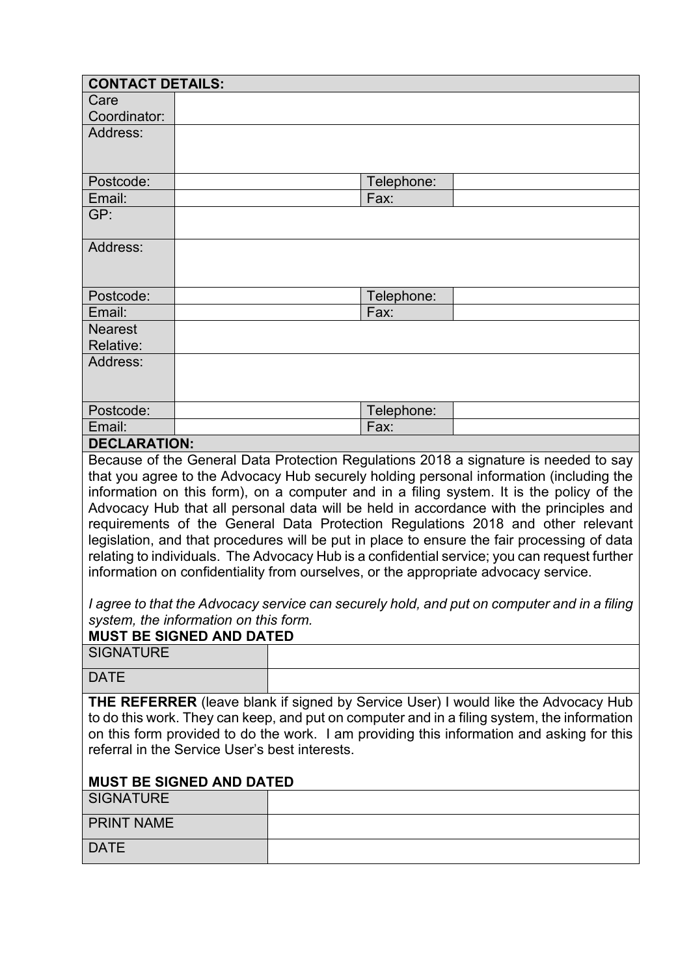| Care<br>Coordinator:<br>Address:<br>Postcode:<br>Telephone:<br>Email:<br>Fax:<br>GP:<br>Address:<br>Postcode:<br>Telephone:<br>Email:<br>Fax:<br><b>Nearest</b><br>Relative:<br>Address:<br>Postcode:<br>Telephone:<br>Email:<br>Fax:<br><b>DECLARATION:</b><br>Because of the General Data Protection Regulations 2018 a signature is needed to say<br>that you agree to the Advocacy Hub securely holding personal information (including the<br>information on this form), on a computer and in a filing system. It is the policy of the<br>Advocacy Hub that all personal data will be held in accordance with the principles and<br>requirements of the General Data Protection Regulations 2018 and other relevant<br>legislation, and that procedures will be put in place to ensure the fair processing of data<br>relating to individuals. The Advocacy Hub is a confidential service; you can request further<br>information on confidentiality from ourselves, or the appropriate advocacy service.<br>I agree to that the Advocacy service can securely hold, and put on computer and in a filing<br>system, the information on this form.<br><b>MUST BE SIGNED AND DATED</b><br><b>SIGNATURE</b><br><b>DATE</b><br>THE REFERRER (leave blank if signed by Service User) I would like the Advocacy Hub<br>to do this work. They can keep, and put on computer and in a filing system, the information<br>on this form provided to do the work. I am providing this information and asking for this<br>referral in the Service User's best interests.<br><b>MUST BE SIGNED AND DATED</b><br><b>SIGNATURE</b><br><b>PRINT NAME</b><br><b>DATE</b> | <b>CONTACT DETAILS:</b> |  |  |  |  |  |  |
|-------------------------------------------------------------------------------------------------------------------------------------------------------------------------------------------------------------------------------------------------------------------------------------------------------------------------------------------------------------------------------------------------------------------------------------------------------------------------------------------------------------------------------------------------------------------------------------------------------------------------------------------------------------------------------------------------------------------------------------------------------------------------------------------------------------------------------------------------------------------------------------------------------------------------------------------------------------------------------------------------------------------------------------------------------------------------------------------------------------------------------------------------------------------------------------------------------------------------------------------------------------------------------------------------------------------------------------------------------------------------------------------------------------------------------------------------------------------------------------------------------------------------------------------------------------------------------------------------------------------------------------------------------------|-------------------------|--|--|--|--|--|--|
|                                                                                                                                                                                                                                                                                                                                                                                                                                                                                                                                                                                                                                                                                                                                                                                                                                                                                                                                                                                                                                                                                                                                                                                                                                                                                                                                                                                                                                                                                                                                                                                                                                                             |                         |  |  |  |  |  |  |
|                                                                                                                                                                                                                                                                                                                                                                                                                                                                                                                                                                                                                                                                                                                                                                                                                                                                                                                                                                                                                                                                                                                                                                                                                                                                                                                                                                                                                                                                                                                                                                                                                                                             |                         |  |  |  |  |  |  |
|                                                                                                                                                                                                                                                                                                                                                                                                                                                                                                                                                                                                                                                                                                                                                                                                                                                                                                                                                                                                                                                                                                                                                                                                                                                                                                                                                                                                                                                                                                                                                                                                                                                             |                         |  |  |  |  |  |  |
|                                                                                                                                                                                                                                                                                                                                                                                                                                                                                                                                                                                                                                                                                                                                                                                                                                                                                                                                                                                                                                                                                                                                                                                                                                                                                                                                                                                                                                                                                                                                                                                                                                                             |                         |  |  |  |  |  |  |
|                                                                                                                                                                                                                                                                                                                                                                                                                                                                                                                                                                                                                                                                                                                                                                                                                                                                                                                                                                                                                                                                                                                                                                                                                                                                                                                                                                                                                                                                                                                                                                                                                                                             |                         |  |  |  |  |  |  |
|                                                                                                                                                                                                                                                                                                                                                                                                                                                                                                                                                                                                                                                                                                                                                                                                                                                                                                                                                                                                                                                                                                                                                                                                                                                                                                                                                                                                                                                                                                                                                                                                                                                             |                         |  |  |  |  |  |  |
|                                                                                                                                                                                                                                                                                                                                                                                                                                                                                                                                                                                                                                                                                                                                                                                                                                                                                                                                                                                                                                                                                                                                                                                                                                                                                                                                                                                                                                                                                                                                                                                                                                                             |                         |  |  |  |  |  |  |
|                                                                                                                                                                                                                                                                                                                                                                                                                                                                                                                                                                                                                                                                                                                                                                                                                                                                                                                                                                                                                                                                                                                                                                                                                                                                                                                                                                                                                                                                                                                                                                                                                                                             |                         |  |  |  |  |  |  |
|                                                                                                                                                                                                                                                                                                                                                                                                                                                                                                                                                                                                                                                                                                                                                                                                                                                                                                                                                                                                                                                                                                                                                                                                                                                                                                                                                                                                                                                                                                                                                                                                                                                             |                         |  |  |  |  |  |  |
|                                                                                                                                                                                                                                                                                                                                                                                                                                                                                                                                                                                                                                                                                                                                                                                                                                                                                                                                                                                                                                                                                                                                                                                                                                                                                                                                                                                                                                                                                                                                                                                                                                                             |                         |  |  |  |  |  |  |
|                                                                                                                                                                                                                                                                                                                                                                                                                                                                                                                                                                                                                                                                                                                                                                                                                                                                                                                                                                                                                                                                                                                                                                                                                                                                                                                                                                                                                                                                                                                                                                                                                                                             |                         |  |  |  |  |  |  |
|                                                                                                                                                                                                                                                                                                                                                                                                                                                                                                                                                                                                                                                                                                                                                                                                                                                                                                                                                                                                                                                                                                                                                                                                                                                                                                                                                                                                                                                                                                                                                                                                                                                             |                         |  |  |  |  |  |  |
|                                                                                                                                                                                                                                                                                                                                                                                                                                                                                                                                                                                                                                                                                                                                                                                                                                                                                                                                                                                                                                                                                                                                                                                                                                                                                                                                                                                                                                                                                                                                                                                                                                                             |                         |  |  |  |  |  |  |
|                                                                                                                                                                                                                                                                                                                                                                                                                                                                                                                                                                                                                                                                                                                                                                                                                                                                                                                                                                                                                                                                                                                                                                                                                                                                                                                                                                                                                                                                                                                                                                                                                                                             |                         |  |  |  |  |  |  |
|                                                                                                                                                                                                                                                                                                                                                                                                                                                                                                                                                                                                                                                                                                                                                                                                                                                                                                                                                                                                                                                                                                                                                                                                                                                                                                                                                                                                                                                                                                                                                                                                                                                             |                         |  |  |  |  |  |  |
|                                                                                                                                                                                                                                                                                                                                                                                                                                                                                                                                                                                                                                                                                                                                                                                                                                                                                                                                                                                                                                                                                                                                                                                                                                                                                                                                                                                                                                                                                                                                                                                                                                                             |                         |  |  |  |  |  |  |
|                                                                                                                                                                                                                                                                                                                                                                                                                                                                                                                                                                                                                                                                                                                                                                                                                                                                                                                                                                                                                                                                                                                                                                                                                                                                                                                                                                                                                                                                                                                                                                                                                                                             |                         |  |  |  |  |  |  |
|                                                                                                                                                                                                                                                                                                                                                                                                                                                                                                                                                                                                                                                                                                                                                                                                                                                                                                                                                                                                                                                                                                                                                                                                                                                                                                                                                                                                                                                                                                                                                                                                                                                             |                         |  |  |  |  |  |  |
|                                                                                                                                                                                                                                                                                                                                                                                                                                                                                                                                                                                                                                                                                                                                                                                                                                                                                                                                                                                                                                                                                                                                                                                                                                                                                                                                                                                                                                                                                                                                                                                                                                                             |                         |  |  |  |  |  |  |
|                                                                                                                                                                                                                                                                                                                                                                                                                                                                                                                                                                                                                                                                                                                                                                                                                                                                                                                                                                                                                                                                                                                                                                                                                                                                                                                                                                                                                                                                                                                                                                                                                                                             |                         |  |  |  |  |  |  |
|                                                                                                                                                                                                                                                                                                                                                                                                                                                                                                                                                                                                                                                                                                                                                                                                                                                                                                                                                                                                                                                                                                                                                                                                                                                                                                                                                                                                                                                                                                                                                                                                                                                             |                         |  |  |  |  |  |  |
|                                                                                                                                                                                                                                                                                                                                                                                                                                                                                                                                                                                                                                                                                                                                                                                                                                                                                                                                                                                                                                                                                                                                                                                                                                                                                                                                                                                                                                                                                                                                                                                                                                                             |                         |  |  |  |  |  |  |
|                                                                                                                                                                                                                                                                                                                                                                                                                                                                                                                                                                                                                                                                                                                                                                                                                                                                                                                                                                                                                                                                                                                                                                                                                                                                                                                                                                                                                                                                                                                                                                                                                                                             |                         |  |  |  |  |  |  |
|                                                                                                                                                                                                                                                                                                                                                                                                                                                                                                                                                                                                                                                                                                                                                                                                                                                                                                                                                                                                                                                                                                                                                                                                                                                                                                                                                                                                                                                                                                                                                                                                                                                             |                         |  |  |  |  |  |  |
|                                                                                                                                                                                                                                                                                                                                                                                                                                                                                                                                                                                                                                                                                                                                                                                                                                                                                                                                                                                                                                                                                                                                                                                                                                                                                                                                                                                                                                                                                                                                                                                                                                                             |                         |  |  |  |  |  |  |
|                                                                                                                                                                                                                                                                                                                                                                                                                                                                                                                                                                                                                                                                                                                                                                                                                                                                                                                                                                                                                                                                                                                                                                                                                                                                                                                                                                                                                                                                                                                                                                                                                                                             |                         |  |  |  |  |  |  |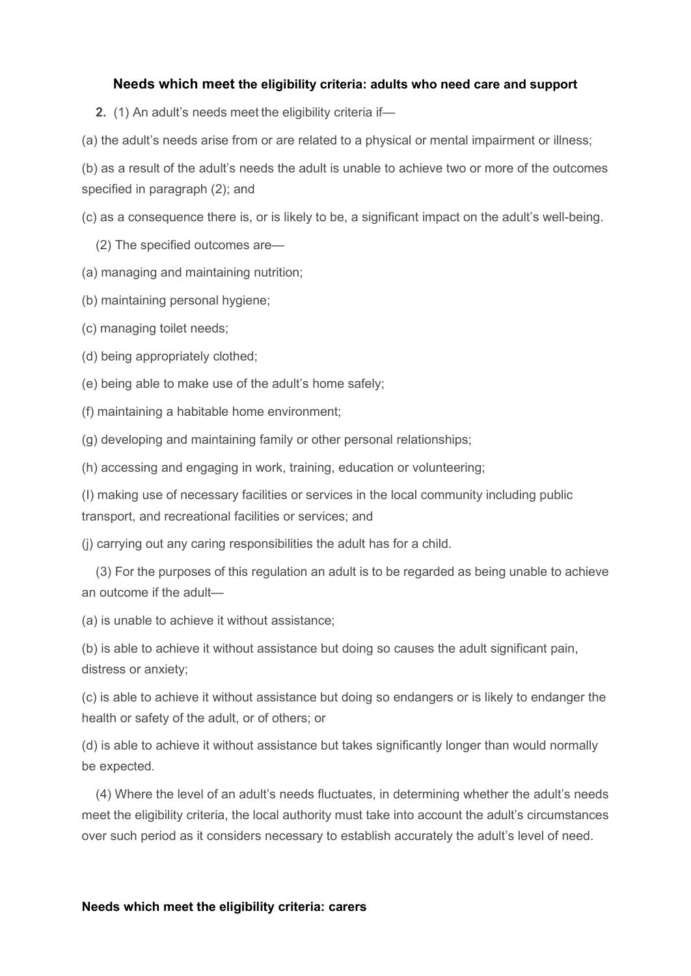## **Needs which meet the eligibility criteria: adults who need care and support**

**2.** (1) An adult's needs meet the eligibility criteria if—

(a) the adult's needs arise from or are related to a physical or mental impairment or illness;

(b) as a result of the adult's needs the adult is unable to achieve two or more of the outcomes specified in paragraph (2); and

(c) as a consequence there is, or is likely to be, a significant impact on the adult's well-being.

(2) The specified outcomes are—

(a) managing and maintaining nutrition;

- (b) maintaining personal hygiene;
- (c) managing toilet needs;
- (d) being appropriately clothed;
- (e) being able to make use of the adult's home safely;
- (f) maintaining a habitable home environment;
- (g) developing and maintaining family or other personal relationships;

(h) accessing and engaging in work, training, education or volunteering;

(I) making use of necessary facilities or services in the local community including public transport, and recreational facilities or services; and

(j) carrying out any caring responsibilities the adult has for a child.

(3) For the purposes of this regulation an adult is to be regarded as being unable to achieve an outcome if the adult—

(a) is unable to achieve it without assistance;

(b) is able to achieve it without assistance but doing so causes the adult significant pain, distress or anxiety;

(c) is able to achieve it without assistance but doing so endangers or is likely to endanger the health or safety of the adult, or of others; or

(d) is able to achieve it without assistance but takes significantly longer than would normally be expected.

(4) Where the level of an adult's needs fluctuates, in determining whether the adult's needs meet the eligibility criteria, the local authority must take into account the adult's circumstances over such period as it considers necessary to establish accurately the adult's level of need.

## **Needs which meet the eligibility criteria: carers**